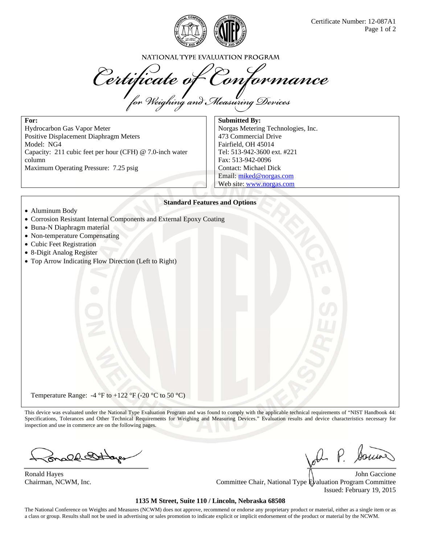

NATIONAL TYPE EVALUATION PROGRAM

Certificate of Conformance

**For:** 

Hydrocarbon Gas Vapor Meter Positive Displacement Diaphragm Meters Model: NG4 Capacity: 211 cubic feet per hour (CFH) @ 7.0-inch water column Maximum Operating Pressure: 7.25 psig

**Submitted By:**  Norgas Metering Technologies, Inc. 473 Commercial Drive Fairfield, OH 45014 Tel: 513-942-3600 ext. #221 Fax: 513-942-0096 Contact: Michael Dick Email: miked@norgas.com Web site: www.norgas.com

## **Standard Features and Options**

- Aluminum Body
- Corrosion Resistant Internal Components and External Epoxy Coating
- Buna-N Diaphragm material
- Non-temperature Compensating
- Cubic Feet Registration
- 8-Digit Analog Register
- Top Arrow Indicating Flow Direction (Left to Right)

Temperature Range: -4 °F to +122 °F (-20 °C to 50 °C)

This device was evaluated under the National Type Evaluation Program and was found to comply with the applicable technical requirements of "NIST Handbook 44: Specifications, Tolerances and Other Technical Requirements for Weighing and Measuring Devices." Evaluation results and device characteristics necessary for inspection and use in commerce are on the following pages.

mald 21 by

P. Souro

Ronald Hayes **Solution Community Community** Community Community Community Community Community Community Community Community Community Community Community Community Community Community Community Community Community Communit Chairman, NCWM, Inc. Committee Chair, National Type Evaluation Program Committee Issued: February 19, 2015

## **1135 M Street, Suite 110 / Lincoln, Nebraska 68508**

The National Conference on Weights and Measures (NCWM) does not approve, recommend or endorse any proprietary product or material, either as a single item or as a class or group. Results shall not be used in advertising or sales promotion to indicate explicit or implicit endorsement of the product or material by the NCWM.